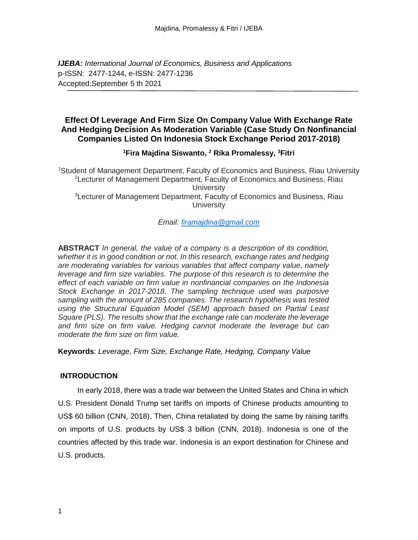*IJEBA: International Journal of Economics, Business and Applications* p-ISSN: 2477-1244, e-ISSN: 2477-1236 Accepted:September 5 th 2021

## **Effect Of Leverage And Firm Size On Company Value With Exchange Rate And Hedging Decision As Moderation Variable (Case Study On Nonfinancial Companies Listed On Indonesia Stock Exchange Period 2017-2018)**

## **<sup>1</sup>Fira Majdina Siswanto, <sup>2</sup> Rika Promalessy, <sup>3</sup>Fitri**

<sup>1</sup>Student of Management Department, Faculty of Economics and Business, Riau University <sup>2</sup>Lecturer of Management Department, Faculty of Economics and Business, Riau **University** <sup>3</sup>Lecturer of Management Department, Faculty of Economics and Business, Riau **University** 

*Email: [firamajdina@gmail.com](mailto:firamajdina@gmail.com)* 

**ABSTRACT** *In general, the value of a company is a description of its condition, whether it is in good condition or not. In this research, exchange rates and hedging are moderating variables for various variables that affect company value, namely leverage and firm size variables. The purpose of this research is to determine the effect of each variable on firm value in nonfinancial companies on the Indonesia Stock Exchange in 2017-2018. The sampling technique used was purposive sampling with the amount of 285 companies. The research hypothesis was tested using the Structural Equation Model (SEM) approach based on Partial Least Square (PLS). The results show that the exchange rate can moderate the leverage and firm size on firm value. Hedging cannot moderate the leverage but can moderate the firm size on firm value.*

**Keywords**: *Leverage, Firm Size, Exchange Rate, Hedging, Company Value*

## **INTRODUCTION**

In early 2018, there was a trade war between the United States and China in which U.S. President Donald Trump set tariffs on imports of Chinese products amounting to US\$ 60 billion (CNN, 2018). Then, China retaliated by doing the same by raising tariffs on imports of U.S. products by US\$ 3 billion (CNN, 2018). Indonesia is one of the countries affected by this trade war. Indonesia is an export destination for Chinese and U.S. products.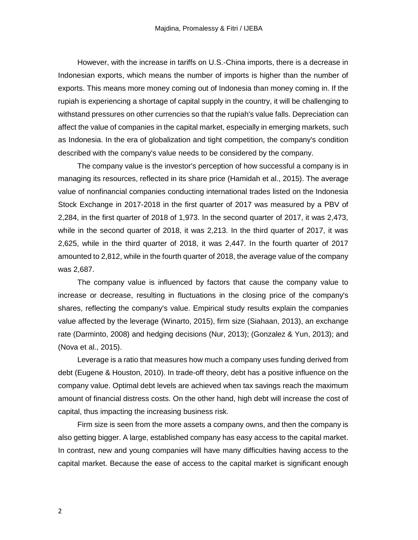However, with the increase in tariffs on U.S.-China imports, there is a decrease in Indonesian exports, which means the number of imports is higher than the number of exports. This means more money coming out of Indonesia than money coming in. If the rupiah is experiencing a shortage of capital supply in the country, it will be challenging to withstand pressures on other currencies so that the rupiah's value falls. Depreciation can affect the value of companies in the capital market, especially in emerging markets, such as Indonesia. In the era of globalization and tight competition, the company's condition described with the company's value needs to be considered by the company.

The company value is the investor's perception of how successful a company is in managing its resources, reflected in its share price (Hamidah et al., 2015). The average value of nonfinancial companies conducting international trades listed on the Indonesia Stock Exchange in 2017-2018 in the first quarter of 2017 was measured by a PBV of 2,284, in the first quarter of 2018 of 1,973. In the second quarter of 2017, it was 2,473, while in the second quarter of 2018, it was 2,213. In the third quarter of 2017, it was 2,625, while in the third quarter of 2018, it was 2,447. In the fourth quarter of 2017 amounted to 2,812, while in the fourth quarter of 2018, the average value of the company was 2,687.

The company value is influenced by factors that cause the company value to increase or decrease, resulting in fluctuations in the closing price of the company's shares, reflecting the company's value. Empirical study results explain the companies value affected by the leverage (Winarto, 2015), firm size (Siahaan, 2013), an exchange rate (Darminto, 2008) and hedging decisions (Nur, 2013); (Gonzalez & Yun, 2013); and (Nova et al., 2015).

Leverage is a ratio that measures how much a company uses funding derived from debt (Eugene & Houston, 2010). In trade-off theory, debt has a positive influence on the company value. Optimal debt levels are achieved when tax savings reach the maximum amount of financial distress costs. On the other hand, high debt will increase the cost of capital, thus impacting the increasing business risk.

Firm size is seen from the more assets a company owns, and then the company is also getting bigger. A large, established company has easy access to the capital market. In contrast, new and young companies will have many difficulties having access to the capital market. Because the ease of access to the capital market is significant enough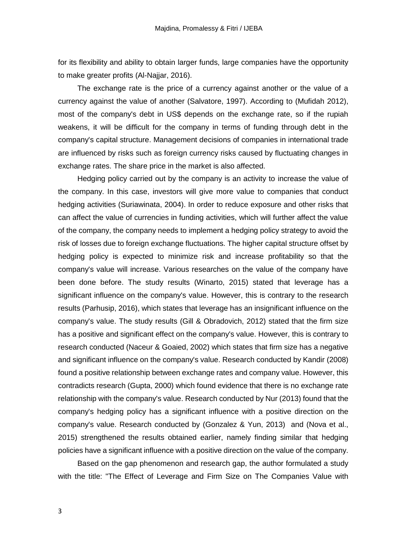for its flexibility and ability to obtain larger funds, large companies have the opportunity to make greater profits (Al-Najjar, 2016).

The exchange rate is the price of a currency against another or the value of a currency against the value of another (Salvatore, 1997). According to (Mufidah 2012), most of the company's debt in US\$ depends on the exchange rate, so if the rupiah weakens, it will be difficult for the company in terms of funding through debt in the company's capital structure. Management decisions of companies in international trade are influenced by risks such as foreign currency risks caused by fluctuating changes in exchange rates. The share price in the market is also affected.

Hedging policy carried out by the company is an activity to increase the value of the company. In this case, investors will give more value to companies that conduct hedging activities (Suriawinata, 2004). In order to reduce exposure and other risks that can affect the value of currencies in funding activities, which will further affect the value of the company, the company needs to implement a hedging policy strategy to avoid the risk of losses due to foreign exchange fluctuations. The higher capital structure offset by hedging policy is expected to minimize risk and increase profitability so that the company's value will increase. Various researches on the value of the company have been done before. The study results (Winarto, 2015) stated that leverage has a significant influence on the company's value. However, this is contrary to the research results (Parhusip, 2016), which states that leverage has an insignificant influence on the company's value. The study results (Gill & Obradovich, 2012) stated that the firm size has a positive and significant effect on the company's value. However, this is contrary to research conducted (Naceur & Goaied, 2002) which states that firm size has a negative and significant influence on the company's value. Research conducted by Kandir (2008) found a positive relationship between exchange rates and company value. However, this contradicts research (Gupta, 2000) which found evidence that there is no exchange rate relationship with the company's value. Research conducted by Nur (2013) found that the company's hedging policy has a significant influence with a positive direction on the company's value. Research conducted by (Gonzalez & Yun, 2013) and (Nova et al., 2015) strengthened the results obtained earlier, namely finding similar that hedging policies have a significant influence with a positive direction on the value of the company.

Based on the gap phenomenon and research gap, the author formulated a study with the title: "The Effect of Leverage and Firm Size on The Companies Value with

3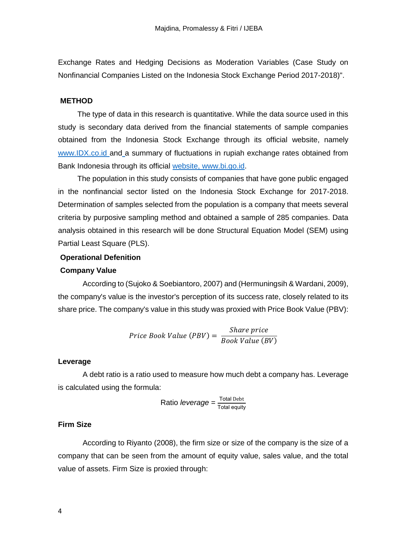Exchange Rates and Hedging Decisions as Moderation Variables (Case Study on Nonfinancial Companies Listed on the Indonesia Stock Exchange Period 2017-2018)".

### **METHOD**

The type of data in this research is quantitative. While the data source used in this study is secondary data derived from the financial statements of sample companies obtained from the Indonesia Stock Exchange through its official [website, namely](http://www.idx.co.id/) [www.IDX.co.id and](http://www.idx.co.id/) a summary of fluctuations in rupiah exchange rates obtained from Bank Indonesia through its official [website, www.bi.go.id.](http://www.bi.go.id/)

The population in this study consists of companies that have gone public engaged in the nonfinancial sector listed on the Indonesia Stock Exchange for 2017-2018. Determination of samples selected from the population is a company that meets several criteria by purposive sampling method and obtained a sample of 285 companies. Data analysis obtained in this research will be done Structural Equation Model (SEM) using Partial Least Square (PLS).

#### **Operational Defenition**

### **Company Value**

According to (Sujoko & Soebiantoro, 2007) and (Hermuningsih & Wardani, 2009), the company's value is the investor's perception of its success rate, closely related to its share price. The company's value in this study was proxied with Price Book Value (PBV):

$$
Price Book Value (PBV) = \frac{Share\ price}{Book\ Value\ (BV)}
$$

#### **Leverage**

A debt ratio is a ratio used to measure how much debt a company has. Leverage is calculated using the formula:

Ratio *leverage* = 
$$
\frac{\text{Total Deb}}{\text{Total equity}}
$$

## **Firm Size**

According to Riyanto (2008), the firm size or size of the company is the size of a company that can be seen from the amount of equity value, sales value, and the total value of assets. Firm Size is proxied through: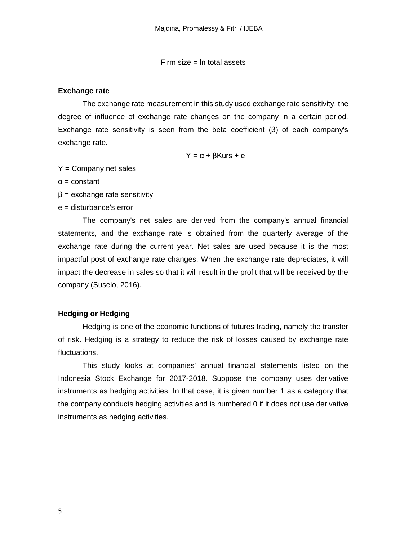Firm size  $=$  In total assets

#### **Exchange rate**

The exchange rate measurement in this study used exchange rate sensitivity, the degree of influence of exchange rate changes on the company in a certain period. Exchange rate sensitivity is seen from the beta coefficient (β) of each company's exchange rate.

Y = α + βKurs + e

 $Y =$  Company net sales

α = constant

 $β =$  exchange rate sensitivity

e = disturbance's error

The company's net sales are derived from the company's annual financial statements, and the exchange rate is obtained from the quarterly average of the exchange rate during the current year. Net sales are used because it is the most impactful post of exchange rate changes. When the exchange rate depreciates, it will impact the decrease in sales so that it will result in the profit that will be received by the company (Suselo, 2016).

### **Hedging or Hedging**

Hedging is one of the economic functions of futures trading, namely the transfer of risk. Hedging is a strategy to reduce the risk of losses caused by exchange rate fluctuations.

This study looks at companies' annual financial statements listed on the Indonesia Stock Exchange for 2017-2018. Suppose the company uses derivative instruments as hedging activities. In that case, it is given number 1 as a category that the company conducts hedging activities and is numbered 0 if it does not use derivative instruments as hedging activities.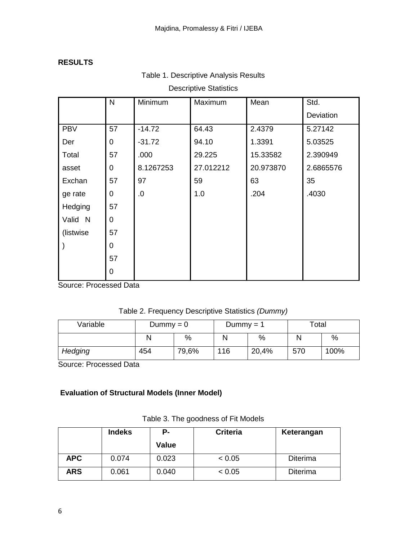## **RESULTS**

|  | Table 1. Descriptive Analysis Results |  |  |
|--|---------------------------------------|--|--|
|--|---------------------------------------|--|--|

## Descriptive Statistics

|            | N              | Minimum   | Maximum   | Mean      | Std.      |
|------------|----------------|-----------|-----------|-----------|-----------|
|            |                |           |           |           | Deviation |
| <b>PBV</b> | 57             | $-14.72$  | 64.43     | 2.4379    | 5.27142   |
| Der        | $\mathbf 0$    | $-31.72$  | 94.10     | 1.3391    | 5.03525   |
| Total      | 57             | .000      | 29.225    | 15.33582  | 2.390949  |
| asset      | $\overline{0}$ | 8.1267253 | 27.012212 | 20.973870 | 2.6865576 |
| Exchan     | 57             | 97        | 59        | 63        | 35        |
| ge rate    | $\mathbf 0$    | .0        | 1.0       | .204      | .4030     |
| Hedging    | 57             |           |           |           |           |
| Valid N    | $\overline{0}$ |           |           |           |           |
| (listwise) | 57             |           |           |           |           |
|            | $\overline{0}$ |           |           |           |           |
|            | 57             |           |           |           |           |
|            | $\overline{0}$ |           |           |           |           |

Source: Processed Data

Table 2. Frequency Descriptive Statistics *(Dummy)*

| Variable | $Dummy = 0$ |       | Dummy $= 1$ |       | Total |      |
|----------|-------------|-------|-------------|-------|-------|------|
|          | N           | %     |             | $\%$  |       | %    |
| Hedging  | 454         | 79,6% | 116         | 20,4% | 570   | 100% |

Source: Processed Data

# **Evaluation of Structural Models (Inner Model)**

|            | <b>Indeks</b> | Р.    | <b>Criteria</b> | Keterangan      |
|------------|---------------|-------|-----------------|-----------------|
|            |               | Value |                 |                 |
| <b>APC</b> | 0.074         | 0.023 | < 0.05          | <b>Diterima</b> |
| <b>ARS</b> | 0.061         | 0.040 | < 0.05          | <b>Diterima</b> |

Table 3. The goodness of Fit Models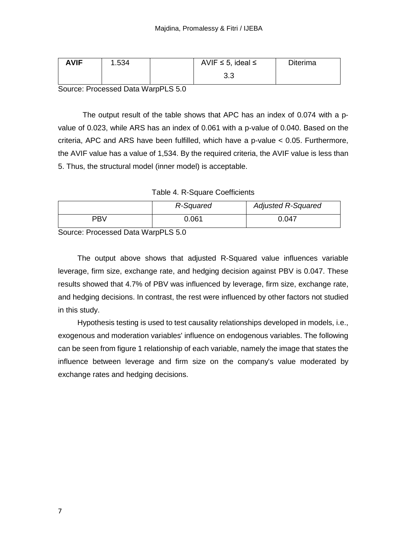| <b>AVIF</b> | .534 | AVIF $\leq$ 5, ideal $\leq$ | <b>Diterima</b> |
|-------------|------|-----------------------------|-----------------|
|             |      | ົດ<br>ს.ს                   |                 |

Source: Processed Data WarpPLS 5.0

The output result of the table shows that APC has an index of 0.074 with a pvalue of 0.023, while ARS has an index of 0.061 with a p-value of 0.040. Based on the criteria, APC and ARS have been fulfilled, which have a p-value < 0.05. Furthermore, the AVIF value has a value of 1,534. By the required criteria, the AVIF value is less than 5. Thus, the structural model (inner model) is acceptable.

Table 4. R-Square Coefficients

|     | R-Squared | <b>Adjusted R-Squared</b> |
|-----|-----------|---------------------------|
| PBV | 0.061     | 0.047                     |

Source: Processed Data WarpPLS 5.0

The output above shows that adjusted R-Squared value influences variable leverage, firm size, exchange rate, and hedging decision against PBV is 0.047. These results showed that 4.7% of PBV was influenced by leverage, firm size, exchange rate, and hedging decisions. In contrast, the rest were influenced by other factors not studied in this study.

Hypothesis testing is used to test causality relationships developed in models, i.e., exogenous and moderation variables' influence on endogenous variables. The following can be seen from figure 1 relationship of each variable, namely the image that states the influence between leverage and firm size on the company's value moderated by exchange rates and hedging decisions.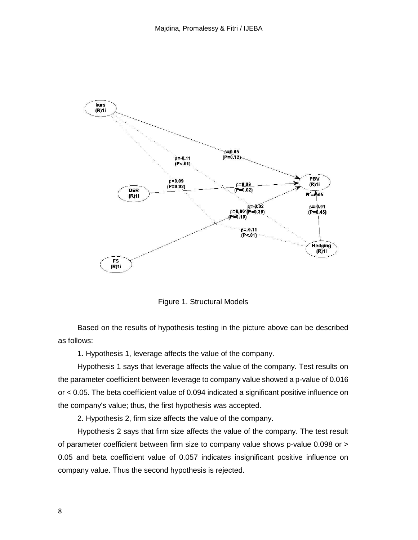

Figure 1. Structural Models

Based on the results of hypothesis testing in the picture above can be described as follows:

1. Hypothesis 1, leverage affects the value of the company.

Hypothesis 1 says that leverage affects the value of the company. Test results on the parameter coefficient between leverage to company value showed a p-value of 0.016 or < 0.05. The beta coefficient value of 0.094 indicated a significant positive influence on the company's value; thus, the first hypothesis was accepted.

2. Hypothesis 2, firm size affects the value of the company.

Hypothesis 2 says that firm size affects the value of the company. The test result of parameter coefficient between firm size to company value shows p-value 0.098 or > 0.05 and beta coefficient value of 0.057 indicates insignificant positive influence on company value. Thus the second hypothesis is rejected.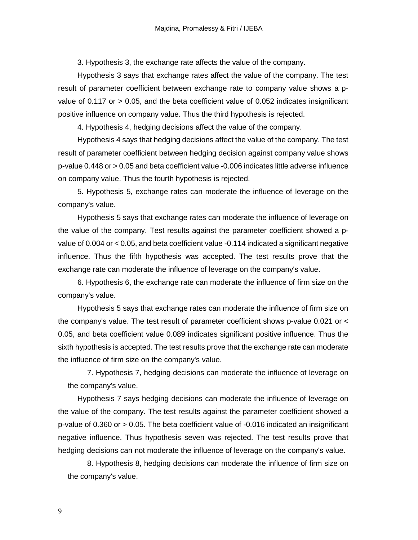3. Hypothesis 3, the exchange rate affects the value of the company.

Hypothesis 3 says that exchange rates affect the value of the company. The test result of parameter coefficient between exchange rate to company value shows a pvalue of 0.117 or > 0.05, and the beta coefficient value of 0.052 indicates insignificant positive influence on company value. Thus the third hypothesis is rejected.

4. Hypothesis 4, hedging decisions affect the value of the company.

Hypothesis 4 says that hedging decisions affect the value of the company. The test result of parameter coefficient between hedging decision against company value shows p-value 0.448 or > 0.05 and beta coefficient value -0.006 indicates little adverse influence on company value. Thus the fourth hypothesis is rejected.

5. Hypothesis 5, exchange rates can moderate the influence of leverage on the company's value.

Hypothesis 5 says that exchange rates can moderate the influence of leverage on the value of the company. Test results against the parameter coefficient showed a pvalue of 0.004 or < 0.05, and beta coefficient value -0.114 indicated a significant negative influence. Thus the fifth hypothesis was accepted. The test results prove that the exchange rate can moderate the influence of leverage on the company's value.

6. Hypothesis 6, the exchange rate can moderate the influence of firm size on the company's value.

Hypothesis 5 says that exchange rates can moderate the influence of firm size on the company's value. The test result of parameter coefficient shows p-value 0.021 or < 0.05, and beta coefficient value 0.089 indicates significant positive influence. Thus the sixth hypothesis is accepted. The test results prove that the exchange rate can moderate the influence of firm size on the company's value.

7. Hypothesis 7, hedging decisions can moderate the influence of leverage on the company's value.

Hypothesis 7 says hedging decisions can moderate the influence of leverage on the value of the company. The test results against the parameter coefficient showed a p-value of 0.360 or > 0.05. The beta coefficient value of -0.016 indicated an insignificant negative influence. Thus hypothesis seven was rejected. The test results prove that hedging decisions can not moderate the influence of leverage on the company's value.

8. Hypothesis 8, hedging decisions can moderate the influence of firm size on the company's value.

9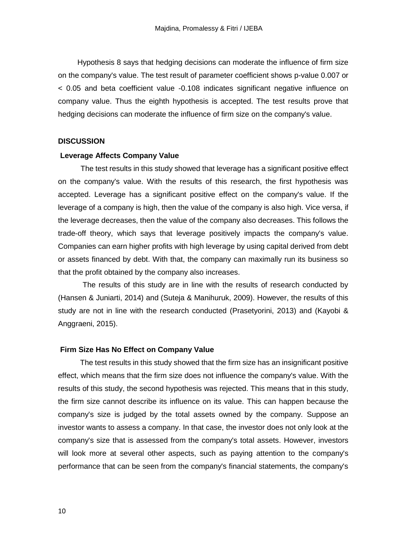Hypothesis 8 says that hedging decisions can moderate the influence of firm size on the company's value. The test result of parameter coefficient shows p-value 0.007 or < 0.05 and beta coefficient value -0.108 indicates significant negative influence on company value. Thus the eighth hypothesis is accepted. The test results prove that hedging decisions can moderate the influence of firm size on the company's value.

#### **DISCUSSION**

#### **Leverage Affects Company Value**

 The test results in this study showed that leverage has a significant positive effect on the company's value. With the results of this research, the first hypothesis was accepted. Leverage has a significant positive effect on the company's value. If the leverage of a company is high, then the value of the company is also high. Vice versa, if the leverage decreases, then the value of the company also decreases. This follows the trade-off theory, which says that leverage positively impacts the company's value. Companies can earn higher profits with high leverage by using capital derived from debt or assets financed by debt. With that, the company can maximally run its business so that the profit obtained by the company also increases.

The results of this study are in line with the results of research conducted by (Hansen & Juniarti, 2014) and (Suteja & Manihuruk, 2009). However, the results of this study are not in line with the research conducted (Prasetyorini, 2013) and (Kayobi & Anggraeni, 2015).

### **Firm Size Has No Effect on Company Value**

The test results in this study showed that the firm size has an insignificant positive effect, which means that the firm size does not influence the company's value. With the results of this study, the second hypothesis was rejected. This means that in this study, the firm size cannot describe its influence on its value. This can happen because the company's size is judged by the total assets owned by the company. Suppose an investor wants to assess a company. In that case, the investor does not only look at the company's size that is assessed from the company's total assets. However, investors will look more at several other aspects, such as paying attention to the company's performance that can be seen from the company's financial statements, the company's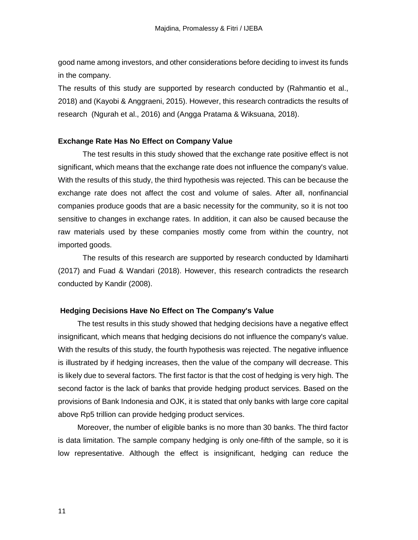good name among investors, and other considerations before deciding to invest its funds in the company.

The results of this study are supported by research conducted by (Rahmantio et al., 2018) and (Kayobi & Anggraeni, 2015). However, this research contradicts the results of research (Ngurah et al., 2016) and (Angga Pratama & Wiksuana, 2018).

### **Exchange Rate Has No Effect on Company Value**

The test results in this study showed that the exchange rate positive effect is not significant, which means that the exchange rate does not influence the company's value. With the results of this study, the third hypothesis was rejected. This can be because the exchange rate does not affect the cost and volume of sales. After all, nonfinancial companies produce goods that are a basic necessity for the community, so it is not too sensitive to changes in exchange rates. In addition, it can also be caused because the raw materials used by these companies mostly come from within the country, not imported goods.

The results of this research are supported by research conducted by Idamiharti (2017) and Fuad & Wandari (2018). However, this research contradicts the research conducted by Kandir (2008).

### **Hedging Decisions Have No Effect on The Company's Value**

The test results in this study showed that hedging decisions have a negative effect insignificant, which means that hedging decisions do not influence the company's value. With the results of this study, the fourth hypothesis was rejected. The negative influence is illustrated by if hedging increases, then the value of the company will decrease. This is likely due to several factors. The first factor is that the cost of hedging is very high. The second factor is the lack of banks that provide hedging product services. Based on the provisions of Bank Indonesia and OJK, it is stated that only banks with large core capital above Rp5 trillion can provide hedging product services.

Moreover, the number of eligible banks is no more than 30 banks. The third factor is data limitation. The sample company hedging is only one-fifth of the sample, so it is low representative. Although the effect is insignificant, hedging can reduce the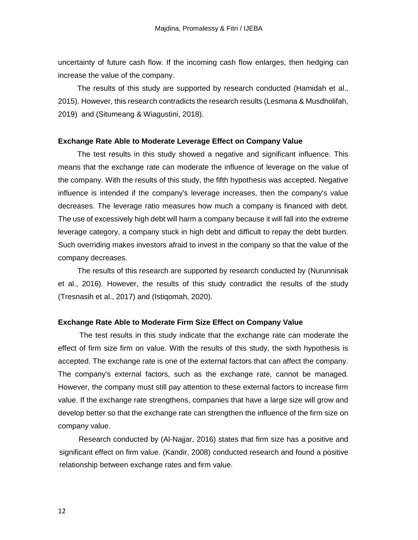uncertainty of future cash flow. If the incoming cash flow enlarges, then hedging can increase the value of the company.

The results of this study are supported by research conducted (Hamidah et al., 2015). However, this research contradicts the research results (Lesmana & Musdholifah, 2019) and (Situmeang & Wiagustini, 2018).

#### **Exchange Rate Able to Moderate Leverage Effect on Company Value**

The test results in this study showed a negative and significant influence. This means that the exchange rate can moderate the influence of leverage on the value of the company. With the results of this study, the fifth hypothesis was accepted. Negative influence is intended if the company's leverage increases, then the company's value decreases. The leverage ratio measures how much a company is financed with debt. The use of excessively high debt will harm a company because it will fall into the extreme leverage category, a company stuck in high debt and difficult to repay the debt burden. Such overriding makes investors afraid to invest in the company so that the value of the company decreases.

The results of this research are supported by research conducted by (Nurunnisak et al., 2016). However, the results of this study contradict the results of the study (Tresnasih et al., 2017) and (Istiqomah, 2020).

### **Exchange Rate Able to Moderate Firm Size Effect on Company Value**

The test results in this study indicate that the exchange rate can moderate the effect of firm size firm on value. With the results of this study, the sixth hypothesis is accepted. The exchange rate is one of the external factors that can affect the company. The company's external factors, such as the exchange rate, cannot be managed. However, the company must still pay attention to these external factors to increase firm value. If the exchange rate strengthens, companies that have a large size will grow and develop better so that the exchange rate can strengthen the influence of the firm size on company value.

Research conducted by (Al-Najjar, 2016) states that firm size has a positive and significant effect on firm value. (Kandir, 2008) conducted research and found a positive relationship between exchange rates and firm value.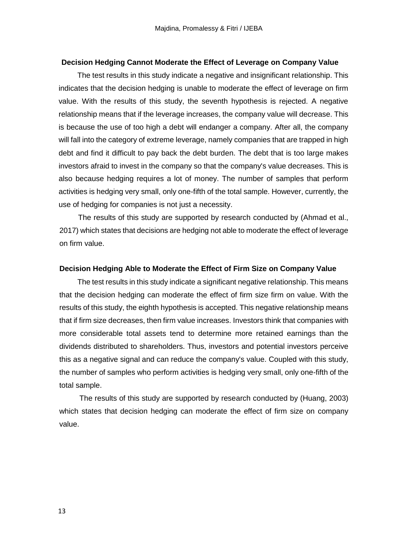#### **Decision Hedging Cannot Moderate the Effect of Leverage on Company Value**

The test results in this study indicate a negative and insignificant relationship. This indicates that the decision hedging is unable to moderate the effect of leverage on firm value. With the results of this study, the seventh hypothesis is rejected. A negative relationship means that if the leverage increases, the company value will decrease. This is because the use of too high a debt will endanger a company. After all, the company will fall into the category of extreme leverage, namely companies that are trapped in high debt and find it difficult to pay back the debt burden. The debt that is too large makes investors afraid to invest in the company so that the company's value decreases. This is also because hedging requires a lot of money. The number of samples that perform activities is hedging very small, only one-fifth of the total sample. However, currently, the use of hedging for companies is not just a necessity.

The results of this study are supported by research conducted by (Ahmad et al., 2017) which states that decisions are hedging not able to moderate the effect of leverage on firm value.

#### **Decision Hedging Able to Moderate the Effect of Firm Size on Company Value**

The test results in this study indicate a significant negative relationship. This means that the decision hedging can moderate the effect of firm size firm on value. With the results of this study, the eighth hypothesis is accepted. This negative relationship means that if firm size decreases, then firm value increases. Investors think that companies with more considerable total assets tend to determine more retained earnings than the dividends distributed to shareholders. Thus, investors and potential investors perceive this as a negative signal and can reduce the company's value. Coupled with this study, the number of samples who perform activities is hedging very small, only one-fifth of the total sample.

The results of this study are supported by research conducted by (Huang, 2003) which states that decision hedging can moderate the effect of firm size on company value.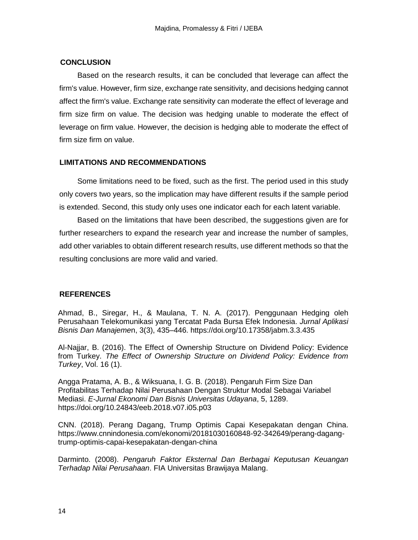## **CONCLUSION**

Based on the research results, it can be concluded that leverage can affect the firm's value. However, firm size, exchange rate sensitivity, and decisions hedging cannot affect the firm's value. Exchange rate sensitivity can moderate the effect of leverage and firm size firm on value. The decision was hedging unable to moderate the effect of leverage on firm value. However, the decision is hedging able to moderate the effect of firm size firm on value.

## **LIMITATIONS AND RECOMMENDATIONS**

Some limitations need to be fixed, such as the first. The period used in this study only covers two years, so the implication may have different results if the sample period is extended. Second, this study only uses one indicator each for each latent variable.

Based on the limitations that have been described, the suggestions given are for further researchers to expand the research year and increase the number of samples, add other variables to obtain different research results, use different methods so that the resulting conclusions are more valid and varied.

## **REFERENCES**

Ahmad, B., Siregar, H., & Maulana, T. N. A. (2017). Penggunaan Hedging oleh Perusahaan Telekomunikasi yang Tercatat Pada Bursa Efek Indonesia. *Jurnal Aplikasi Bisnis Dan Manajeme*n, 3(3), 435–446. https://doi.org/10.17358/jabm.3.3.435

Al-Najjar, B. (2016). The Effect of Ownership Structure on Dividend Policy: Evidence from Turkey. *The Effect of Ownership Structure on Dividend Policy: Evidence from Turkey*, Vol. 16 (1).

Angga Pratama, A. B., & Wiksuana, I. G. B. (2018). Pengaruh Firm Size Dan Profitabilitas Terhadap Nilai Perusahaan Dengan Struktur Modal Sebagai Variabel Mediasi. *E-Jurnal Ekonomi Dan Bisnis Universitas Udayana*, 5, 1289. https://doi.org/10.24843/eeb.2018.v07.i05.p03

CNN. (2018). Perang Dagang, Trump Optimis Capai Kesepakatan dengan China. https://www.cnnindonesia.com/ekonomi/20181030160848-92-342649/perang-dagangtrump-optimis-capai-kesepakatan-dengan-china

Darminto. (2008). *Pengaruh Faktor Eksternal Dan Berbagai Keputusan Keuangan Terhadap Nilai Perusahaan*. FIA Universitas Brawijaya Malang.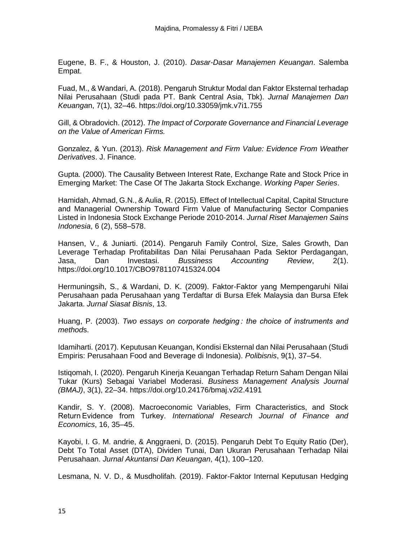Eugene, B. F., & Houston, J. (2010). *Dasar-Dasar Manajemen Keuangan*. Salemba Empat.

Fuad, M., & Wandari, A. (2018). Pengaruh Struktur Modal dan Faktor Eksternal terhadap Nilai Perusahaan (Studi pada PT. Bank Central Asia, Tbk). *Jurnal Manajemen Dan Keuanga*n, 7(1), 32–46. https://doi.org/10.33059/jmk.v7i1.755

Gill, & Obradovich. (2012). *The Impact of Corporate Governance and Financial Leverage on the Value of American Firms.*

Gonzalez, & Yun. (2013). *Risk Management and Firm Value: Evidence From Weather Derivatives*. J. Finance.

Gupta. (2000). The Causality Between Interest Rate, Exchange Rate and Stock Price in Emerging Market: The Case Of The Jakarta Stock Exchange. *Working Paper Series*.

Hamidah, Ahmad, G.N., & Aulia, R. (2015). Effect of Intellectual Capital, Capital Structure and Managerial Ownership Toward Firm Value of Manufacturing Sector Companies Listed in Indonesia Stock Exchange Periode 2010-2014. *Jurnal Riset Manajemen Sains Indonesia*, 6 (2), 558–578.

Hansen, V., & Juniarti. (2014). Pengaruh Family Control, Size, Sales Growth, Dan Leverage Terhadap Profitabilitas Dan Nilai Perusahaan Pada Sektor Perdagangan, Jasa, Dan Investasi. *Bussiness Accounting Review*, 2(1). https://doi.org/10.1017/CBO9781107415324.004

Hermuningsih, S., & Wardani, D. K. (2009). Faktor-Faktor yang Mempengaruhi Nilai Perusahaan pada Perusahaan yang Terdaftar di Bursa Efek Malaysia dan Bursa Efek Jakarta. *Jurnal Siasat Bisnis*, 13.

Huang, P. (2003). *Two essays on corporate hedging : the choice of instruments and method*s.

Idamiharti. (2017). Keputusan Keuangan, Kondisi Eksternal dan Nilai Perusahaan (Studi Empiris: Perusahaan Food and Beverage di Indonesia). *Polibisnis*, 9(1), 37–54.

Istiqomah, I. (2020). Pengaruh Kinerja Keuangan Terhadap Return Saham Dengan Nilai Tukar (Kurs) Sebagai Variabel Moderasi. *Business Management Analysis Journal (BMAJ)*, 3(1), 22–34. https://doi.org/10.24176/bmaj.v2i2.4191

Kandir, S. Y. (2008). Macroeconomic Variables, Firm Characteristics, and Stock Return Evidence from Turkey. *International Research Journal of Finance and Economics*, 16, 35–45.

Kayobi, I. G. M. andrie, & Anggraeni, D. (2015). Pengaruh Debt To Equity Ratio (Der), Debt To Total Asset (DTA), Dividen Tunai, Dan Ukuran Perusahaan Terhadap Nilai Perusahaan. *Jurnal Akuntansi Dan Keuangan*, 4(1), 100–120.

Lesmana, N. V. D., & Musdholifah. (2019). Faktor-Faktor Internal Keputusan Hedging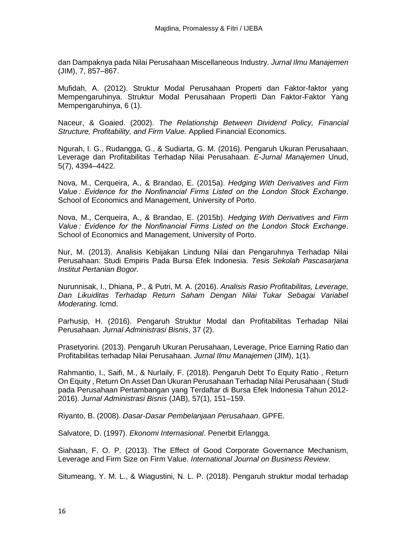dan Dampaknya pada Nilai Perusahaan Miscellaneous Industry. *Jurnal Ilmu Manajemen* (JIM), 7, 857–867.

Mufidah, A. (2012). Struktur Modal Perusahaan Properti dan Faktor-faktor yang Mempengaruhinya. Struktur Modal Perusahaan Properti Dan Faktor-Faktor Yang Mempengaruhinya, 6 (1).

Naceur, & Goaied. (2002). *The Relationship Between Dividend Policy, Financial Structure, Profitability, and Firm Value.* Applied Financial Economics.

Ngurah, I. G., Rudangga, G., & Sudiarta, G. M. (2016). Pengaruh Ukuran Perusahaan, Leverage dan Profitabilitas Terhadap Nilai Perusahaan. *E-Jurnal Manajemen* Unud, 5(7), 4394–4422.

Nova, M., Cerqueira, A., & Brandao, E. (2015a). *Hedging With Derivatives and Firm Value : Evidence for the Nonfinancial Firms Listed on the London Stock Exchange*. School of Economics and Management, University of Porto.

Nova, M., Cerqueira, A., & Brandao, E. (2015b). *Hedging With Derivatives and Firm Value : Evidence for the Nonfinancial Firms Listed on the London Stock Exchange*. School of Economics and Management, University of Porto.

Nur, M. (2013). Analisis Kebijakan Lindung Nilai dan Pengaruhnya Terhadap Nilai Perusahaan: Studi Empiris Pada Bursa Efek Indonesia. *Tesis Sekolah Pascasarjana Institut Pertanian Bogor.*

Nurunnisak, I., Dhiana, P., & Putri, M. A. (2016). *Analisis Rasio Profitabilitas, Leverage, Dan Likuiditas Terhadap Return Saham Dengan Nilai Tukar Sebagai Variabel Moderating*. Icmd.

Parhusip, H. (2016). Pengaruh Struktur Modal dan Profitabilitas Terhadap Nilai Perusahaan. *Jurnal Administrasi Bisnis*, 37 (2).

Prasetyorini. (2013). Pengaruh Ukuran Perusahaan, Leverage, Price Earning Ratio dan Profitabilitas terhadap Nilai Perusahaan. *Jurnal Ilmu Manajemen* (JIM), 1(1).

Rahmantio, I., Saifi, M., & Nurlaily, F. (2018). Pengaruh Debt To Equity Ratio , Return On Equity , Return On Asset Dan Ukuran Perusahaan Terhadap Nilai Perusahaan ( Studi pada Perusahaan Pertambangan yang Terdaftar di Bursa Efek Indonesia Tahun 2012- 2016). *Jurnal Administrasi Bisnis* (JAB), 57(1), 151–159.

Riyanto, B. (2008). *Dasar-Dasar Pembelanjaan Perusahaan*. GPFE.

Salvatore, D. (1997). *Ekonomi Internasional*. Penerbit Erlangga.

Siahaan, F. O. P. (2013). The Effect of Good Corporate Governance Mechanism, Leverage and Firm Size on Firm Value. *International Journal on Business Review.*

Situmeang, Y. M. L., & Wiagustini, N. L. P. (2018). Pengaruh struktur modal terhadap